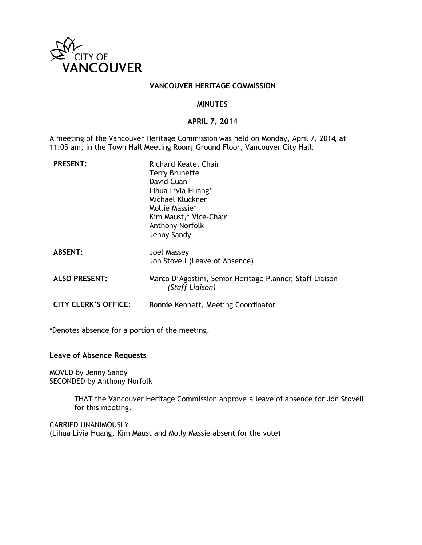

#### **VANCOUVER HERITAGE COMMISSION**

#### **MINUTES**

#### **APRIL 7, 2014**

A meeting of the Vancouver Heritage Commission was held on Monday, April 7, 2014, at 11:05 am, in the Town Hall Meeting Room, Ground Floor, Vancouver City Hall.

| <b>PRESENT:</b>             | Richard Keate, Chair<br><b>Terry Brunette</b><br>David Cuan<br>Lihua Livia Huang*<br>Michael Kluckner<br>Mollie Massie*<br>Kim Maust,* Vice-Chair<br>Anthony Norfolk<br>Jenny Sandy |
|-----------------------------|-------------------------------------------------------------------------------------------------------------------------------------------------------------------------------------|
| <b>ABSENT:</b>              | Joel Massey<br>Jon Stovell (Leave of Absence)                                                                                                                                       |
| <b>ALSO PRESENT:</b>        | Marco D'Agostini, Senior Heritage Planner, Staff Liaison<br>(Staff Liaison)                                                                                                         |
| <b>CITY CLERK'S OFFICE:</b> | Bonnie Kennett, Meeting Coordinator                                                                                                                                                 |

\*Denotes absence for a portion of the meeting.

# **Leave of Absence Requests**

MOVED by Jenny Sandy SECONDED by Anthony Norfolk

> THAT the Vancouver Heritage Commission approve a leave of absence for Jon Stovell for this meeting.

CARRIED UNANIMOUSLY (Lihua Livia Huang, Kim Maust and Molly Massie absent for the vote)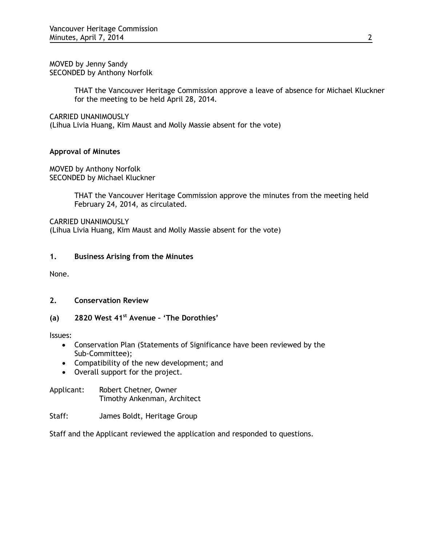MOVED by Jenny Sandy SECONDED by Anthony Norfolk

> THAT the Vancouver Heritage Commission approve a leave of absence for Michael Kluckner for the meeting to be held April 28, 2014.

CARRIED UNANIMOUSLY

(Lihua Livia Huang, Kim Maust and Molly Massie absent for the vote)

# **Approval of Minutes**

MOVED by Anthony Norfolk SECONDED by Michael Kluckner

> THAT the Vancouver Heritage Commission approve the minutes from the meeting held February 24, 2014, as circulated.

CARRIED UNANIMOUSLY (Lihua Livia Huang, Kim Maust and Molly Massie absent for the vote)

# **1. Business Arising from the Minutes**

None.

# **2. Conservation Review**

# **(a) 2820 West 41st Avenue – 'The Dorothies'**

Issues:

- Conservation Plan (Statements of Significance have been reviewed by the Sub-Committee);
- Compatibility of the new development; and
- Overall support for the project.

Applicant: Robert Chetner, Owner Timothy Ankenman, Architect

# Staff: James Boldt, Heritage Group

Staff and the Applicant reviewed the application and responded to questions.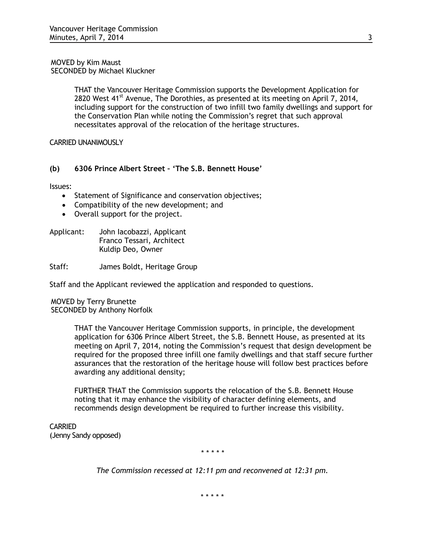#### MOVED by Kim Maust SECONDED by Michael Kluckner

THAT the Vancouver Heritage Commission supports the Development Application for 2820 West  $41^{st}$  Avenue, The Dorothies, as presented at its meeting on April 7, 2014, including support for the construction of two infill two family dwellings and support for the Conservation Plan while noting the Commission's regret that such approval necessitates approval of the relocation of the heritage structures.

CARRIED UNANIMOUSLY

# **(b) 6306 Prince Albert Street – 'The S.B. Bennett House'**

Issues:

- Statement of Significance and conservation objectives;
- Compatibility of the new development; and
- Overall support for the project.

Applicant: John Iacobazzi, Applicant Franco Tessari, Architect Kuldip Deo, Owner

Staff: James Boldt, Heritage Group

Staff and the Applicant reviewed the application and responded to questions.

MOVED by Terry Brunette SECONDED by Anthony Norfolk

> THAT the Vancouver Heritage Commission supports, in principle, the development application for 6306 Prince Albert Street, the S.B. Bennett House, as presented at its meeting on April 7, 2014, noting the Commission's request that design development be required for the proposed three infill one family dwellings and that staff secure further assurances that the restoration of the heritage house will follow best practices before awarding any additional density;

FURTHER THAT the Commission supports the relocation of the S.B. Bennett House noting that it may enhance the visibility of character defining elements, and recommends design development be required to further increase this visibility.

**CARRIED** (Jenny Sandy opposed)

*\* \* \* \* \**

*The Commission recessed at 12:11 pm and reconvened at 12:31 pm.*

\* \* \* \* \*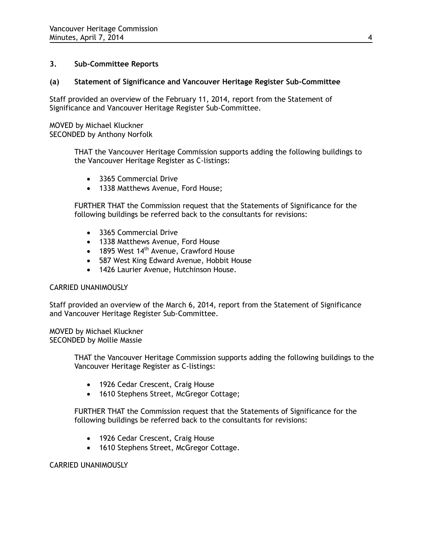# **3. Sub-Committee Reports**

# **(a) Statement of Significance and Vancouver Heritage Register Sub-Committee**

Staff provided an overview of the February 11, 2014, report from the Statement of Significance and Vancouver Heritage Register Sub-Committee.

MOVED by Michael Kluckner SECONDED by Anthony Norfolk

> THAT the Vancouver Heritage Commission supports adding the following buildings to the Vancouver Heritage Register as C-listings:

- 3365 Commercial Drive
- 1338 Matthews Avenue, Ford House;

FURTHER THAT the Commission request that the Statements of Significance for the following buildings be referred back to the consultants for revisions:

- 3365 Commercial Drive
- 1338 Matthews Avenue, Ford House
- $\bullet$  1895 West 14<sup>th</sup> Avenue, Crawford House
- 587 West King Edward Avenue, Hobbit House
- 1426 Laurier Avenue, Hutchinson House.

#### CARRIED UNANIMOUSLY

Staff provided an overview of the March 6, 2014, report from the Statement of Significance and Vancouver Heritage Register Sub-Committee.

MOVED by Michael Kluckner SECONDED by Mollie Massie

> THAT the Vancouver Heritage Commission supports adding the following buildings to the Vancouver Heritage Register as C-listings:

- 1926 Cedar Crescent, Craig House
- 1610 Stephens Street, McGregor Cottage;

FURTHER THAT the Commission request that the Statements of Significance for the following buildings be referred back to the consultants for revisions:

- 1926 Cedar Crescent, Craig House
- 1610 Stephens Street, McGregor Cottage.

#### CARRIED UNANIMOUSLY